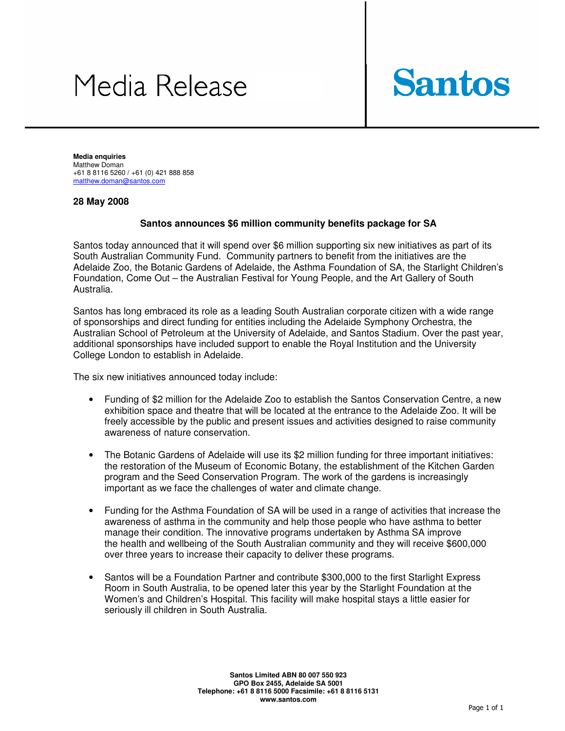# Media Release



**Media enquiries**  Matthew Doman +61 8 8116 5260 / +61 (0) 421 888 858 matthew.doman@santos.com

#### **28 May 2008**

#### **Santos announces \$6 million community benefits package for SA**

Santos today announced that it will spend over \$6 million supporting six new initiatives as part of its South Australian Community Fund. Community partners to benefit from the initiatives are the Adelaide Zoo, the Botanic Gardens of Adelaide, the Asthma Foundation of SA, the Starlight Children's Foundation, Come Out – the Australian Festival for Young People, and the Art Gallery of South Australia.

Santos has long embraced its role as a leading South Australian corporate citizen with a wide range of sponsorships and direct funding for entities including the Adelaide Symphony Orchestra, the Australian School of Petroleum at the University of Adelaide, and Santos Stadium. Over the past year, additional sponsorships have included support to enable the Royal Institution and the University College London to establish in Adelaide.

The six new initiatives announced today include:

- Funding of \$2 million for the Adelaide Zoo to establish the Santos Conservation Centre, a new exhibition space and theatre that will be located at the entrance to the Adelaide Zoo. It will be freely accessible by the public and present issues and activities designed to raise community awareness of nature conservation.
- The Botanic Gardens of Adelaide will use its \$2 million funding for three important initiatives: the restoration of the Museum of Economic Botany, the establishment of the Kitchen Garden program and the Seed Conservation Program. The work of the gardens is increasingly important as we face the challenges of water and climate change.
- Funding for the Asthma Foundation of SA will be used in a range of activities that increase the awareness of asthma in the community and help those people who have asthma to better manage their condition. The innovative programs undertaken by Asthma SA improve the health and wellbeing of the South Australian community and they will receive \$600,000 over three years to increase their capacity to deliver these programs.
- Santos will be a Foundation Partner and contribute \$300,000 to the first Starlight Express Room in South Australia, to be opened later this year by the Starlight Foundation at the Women's and Children's Hospital. This facility will make hospital stays a little easier for seriously ill children in South Australia.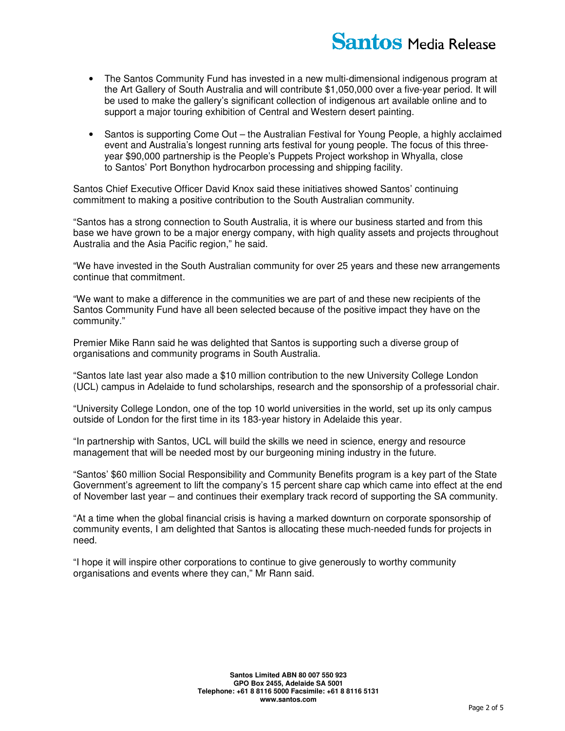- The Santos Community Fund has invested in a new multi-dimensional indigenous program at the Art Gallery of South Australia and will contribute \$1,050,000 over a five-year period. It will be used to make the gallery's significant collection of indigenous art available online and to support a major touring exhibition of Central and Western desert painting.
- Santos is supporting Come Out the Australian Festival for Young People, a highly acclaimed event and Australia's longest running arts festival for young people. The focus of this threeyear \$90,000 partnership is the People's Puppets Project workshop in Whyalla, close to Santos' Port Bonython hydrocarbon processing and shipping facility.

Santos Chief Executive Officer David Knox said these initiatives showed Santos' continuing commitment to making a positive contribution to the South Australian community.

"Santos has a strong connection to South Australia, it is where our business started and from this base we have grown to be a major energy company, with high quality assets and projects throughout Australia and the Asia Pacific region," he said.

"We have invested in the South Australian community for over 25 years and these new arrangements continue that commitment.

"We want to make a difference in the communities we are part of and these new recipients of the Santos Community Fund have all been selected because of the positive impact they have on the community."

Premier Mike Rann said he was delighted that Santos is supporting such a diverse group of organisations and community programs in South Australia.

"Santos late last year also made a \$10 million contribution to the new University College London (UCL) campus in Adelaide to fund scholarships, research and the sponsorship of a professorial chair.

"University College London, one of the top 10 world universities in the world, set up its only campus outside of London for the first time in its 183-year history in Adelaide this year.

"In partnership with Santos, UCL will build the skills we need in science, energy and resource management that will be needed most by our burgeoning mining industry in the future.

"Santos' \$60 million Social Responsibility and Community Benefits program is a key part of the State Government's agreement to lift the company's 15 percent share cap which came into effect at the end of November last year – and continues their exemplary track record of supporting the SA community.

"At a time when the global financial crisis is having a marked downturn on corporate sponsorship of community events, I am delighted that Santos is allocating these much-needed funds for projects in need.

"I hope it will inspire other corporations to continue to give generously to worthy community organisations and events where they can," Mr Rann said.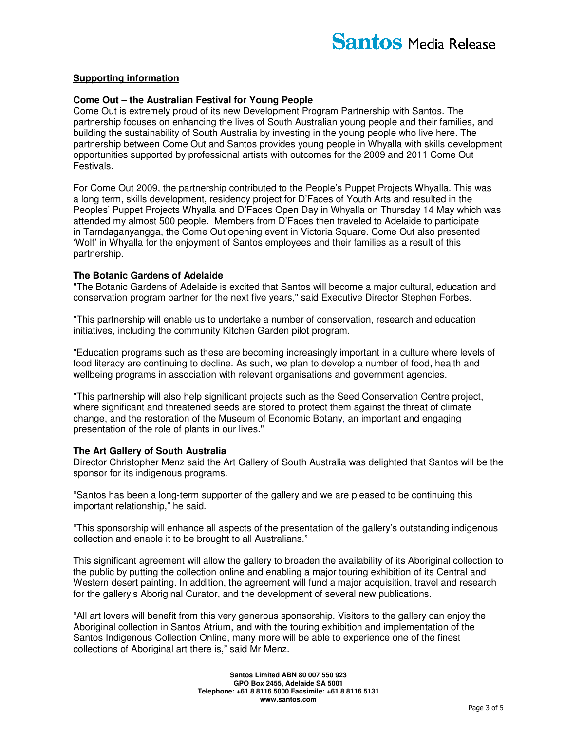## **Supporting information**

#### **Come Out – the Australian Festival for Young People**

Come Out is extremely proud of its new Development Program Partnership with Santos. The partnership focuses on enhancing the lives of South Australian young people and their families, and building the sustainability of South Australia by investing in the young people who live here. The partnership between Come Out and Santos provides young people in Whyalla with skills development opportunities supported by professional artists with outcomes for the 2009 and 2011 Come Out Festivals.

For Come Out 2009, the partnership contributed to the People's Puppet Projects Whyalla. This was a long term, skills development, residency project for D'Faces of Youth Arts and resulted in the Peoples' Puppet Projects Whyalla and D'Faces Open Day in Whyalla on Thursday 14 May which was attended my almost 500 people. Members from D'Faces then traveled to Adelaide to participate in Tarndaganyangga, the Come Out opening event in Victoria Square. Come Out also presented 'Wolf' in Whyalla for the enjoyment of Santos employees and their families as a result of this partnership.

#### **The Botanic Gardens of Adelaide**

"The Botanic Gardens of Adelaide is excited that Santos will become a major cultural, education and conservation program partner for the next five years," said Executive Director Stephen Forbes.

"This partnership will enable us to undertake a number of conservation, research and education initiatives, including the community Kitchen Garden pilot program.

"Education programs such as these are becoming increasingly important in a culture where levels of food literacy are continuing to decline. As such, we plan to develop a number of food, health and wellbeing programs in association with relevant organisations and government agencies.

"This partnership will also help significant projects such as the Seed Conservation Centre project, where significant and threatened seeds are stored to protect them against the threat of climate change, and the restoration of the Museum of Economic Botany, an important and engaging presentation of the role of plants in our lives."

#### **The Art Gallery of South Australia**

Director Christopher Menz said the Art Gallery of South Australia was delighted that Santos will be the sponsor for its indigenous programs.

"Santos has been a long-term supporter of the gallery and we are pleased to be continuing this important relationship," he said.

"This sponsorship will enhance all aspects of the presentation of the gallery's outstanding indigenous collection and enable it to be brought to all Australians."

This significant agreement will allow the gallery to broaden the availability of its Aboriginal collection to the public by putting the collection online and enabling a major touring exhibition of its Central and Western desert painting. In addition, the agreement will fund a major acquisition, travel and research for the gallery's Aboriginal Curator, and the development of several new publications.

"All art lovers will benefit from this very generous sponsorship. Visitors to the gallery can enjoy the Aboriginal collection in Santos Atrium, and with the touring exhibition and implementation of the Santos Indigenous Collection Online, many more will be able to experience one of the finest collections of Aboriginal art there is," said Mr Menz.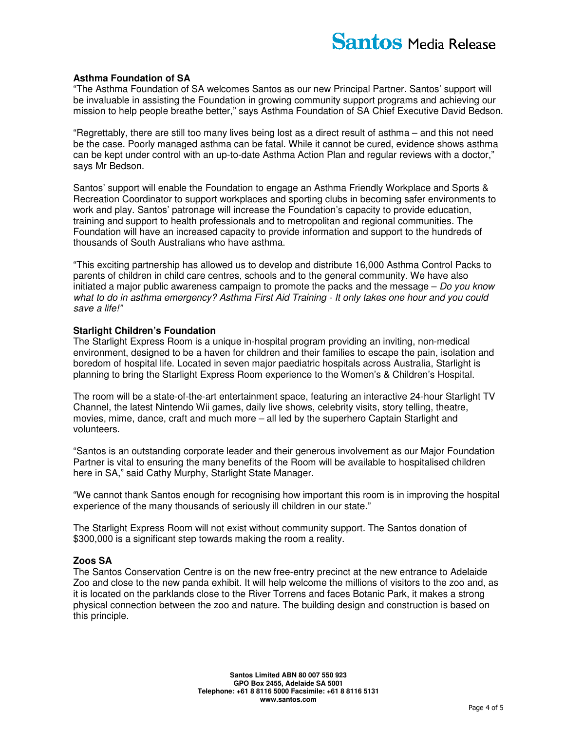#### **Asthma Foundation of SA**

"The Asthma Foundation of SA welcomes Santos as our new Principal Partner. Santos' support will be invaluable in assisting the Foundation in growing community support programs and achieving our mission to help people breathe better," says Asthma Foundation of SA Chief Executive David Bedson.

"Regrettably, there are still too many lives being lost as a direct result of asthma – and this not need be the case. Poorly managed asthma can be fatal. While it cannot be cured, evidence shows asthma can be kept under control with an up-to-date Asthma Action Plan and regular reviews with a doctor," says Mr Bedson.

Santos' support will enable the Foundation to engage an Asthma Friendly Workplace and Sports & Recreation Coordinator to support workplaces and sporting clubs in becoming safer environments to work and play. Santos' patronage will increase the Foundation's capacity to provide education, training and support to health professionals and to metropolitan and regional communities. The Foundation will have an increased capacity to provide information and support to the hundreds of thousands of South Australians who have asthma.

"This exciting partnership has allowed us to develop and distribute 16,000 Asthma Control Packs to parents of children in child care centres, schools and to the general community. We have also initiated a major public awareness campaign to promote the packs and the message  $-$  Do you know what to do in asthma emergency? Asthma First Aid Training - It only takes one hour and you could save a life!"

## **Starlight Children's Foundation**

The Starlight Express Room is a unique in-hospital program providing an inviting, non-medical environment, designed to be a haven for children and their families to escape the pain, isolation and boredom of hospital life. Located in seven major paediatric hospitals across Australia, Starlight is planning to bring the Starlight Express Room experience to the Women's & Children's Hospital.

The room will be a state-of-the-art entertainment space, featuring an interactive 24-hour Starlight TV Channel, the latest Nintendo Wii games, daily live shows, celebrity visits, story telling, theatre, movies, mime, dance, craft and much more – all led by the superhero Captain Starlight and volunteers.

"Santos is an outstanding corporate leader and their generous involvement as our Major Foundation Partner is vital to ensuring the many benefits of the Room will be available to hospitalised children here in SA," said Cathy Murphy, Starlight State Manager.

"We cannot thank Santos enough for recognising how important this room is in improving the hospital experience of the many thousands of seriously ill children in our state."

The Starlight Express Room will not exist without community support. The Santos donation of \$300,000 is a significant step towards making the room a reality.

#### **Zoos SA**

The Santos Conservation Centre is on the new free-entry precinct at the new entrance to Adelaide Zoo and close to the new panda exhibit. It will help welcome the millions of visitors to the zoo and, as it is located on the parklands close to the River Torrens and faces Botanic Park, it makes a strong physical connection between the zoo and nature. The building design and construction is based on this principle.